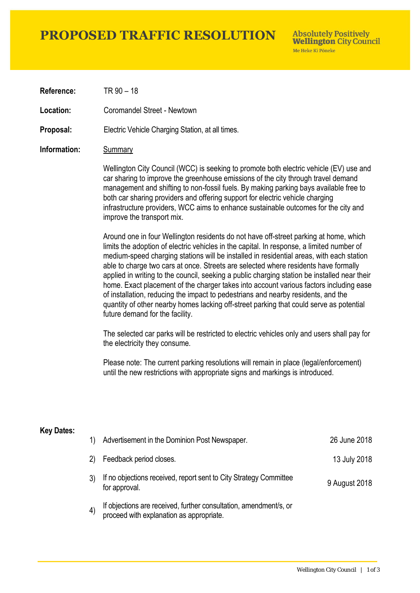## **PROPOSED TRAFFIC RESOLUTION**

**Absolutely Positively Wellington City Council** Me Heke Ki Pôneke

**Reference:** TR 90 – 18

**Location:** Coromandel Street - Newtown

**Proposal:** Electric Vehicle Charging Station, at all times.

#### **Information:** Summary

Wellington City Council (WCC) is seeking to promote both electric vehicle (EV) use and car sharing to improve the greenhouse emissions of the city through travel demand management and shifting to non-fossil fuels. By making parking bays available free to both car sharing providers and offering support for electric vehicle charging infrastructure providers, WCC aims to enhance sustainable outcomes for the city and improve the transport mix.

Around one in four Wellington residents do not have off-street parking at home, which limits the adoption of electric vehicles in the capital. In response, a limited number of medium-speed charging stations will be installed in residential areas, with each station able to charge two cars at once. Streets are selected where residents have formally applied in writing to the council, seeking a public charging station be installed near their home. Exact placement of the charger takes into account various factors including ease of installation, reducing the impact to pedestrians and nearby residents, and the quantity of other nearby homes lacking off-street parking that could serve as potential future demand for the facility.

The selected car parks will be restricted to electric vehicles only and users shall pay for the electricity they consume.

Please note: The current parking resolutions will remain in place (legal/enforcement) until the new restrictions with appropriate signs and markings is introduced.

#### **Key Dates:**

| 1)                | Advertisement in the Dominion Post Newspaper.                                                                 | 26 June 2018  |
|-------------------|---------------------------------------------------------------------------------------------------------------|---------------|
| $\mathbf{2}$      | Feedback period closes.                                                                                       | 13 July 2018  |
|                   | If no objections received, report sent to City Strategy Committee<br>for approval.                            | 9 August 2018 |
| $\left( 4\right)$ | If objections are received, further consultation, amendment/s, or<br>proceed with explanation as appropriate. |               |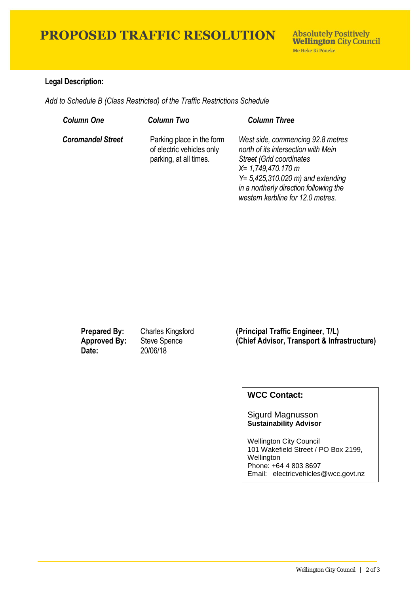## **PROPOSED TRAFFIC RESOLUTION**

### **Legal Description:**

*Add to Schedule B (Class Restricted) of the Traffic Restrictions Schedule* 

| <b>Column One</b>        | <b>Column Two</b>                                                                | <b>Column Three</b>                                                                                                                                                                                                                                          |
|--------------------------|----------------------------------------------------------------------------------|--------------------------------------------------------------------------------------------------------------------------------------------------------------------------------------------------------------------------------------------------------------|
| <b>Coromandel Street</b> | Parking place in the form<br>of electric vehicles only<br>parking, at all times. | West side, commencing 92.8 metres<br>north of its intersection with Mein<br><b>Street (Grid coordinates)</b><br>$X = 1,749,470.170$ m<br>$Y = 5,425,310.020$ m) and extending<br>in a northerly direction following the<br>western kerbline for 12.0 metres. |

**Date:** 20/06/18

**Prepared By:** Charles Kingsford **(Principal Traffic Engineer, T/L) Approved By:** Steve Spence **(Chief Advisor, Transport & Infrastructure)**

### **WCC Contact:**

#### Sigurd Magnusson **Sustainability Advisor**

Wellington City Council 101 Wakefield Street / PO Box 2199, Wellington Phone: +64 4 803 8697 Email: electricvehicles@wcc.govt.nz